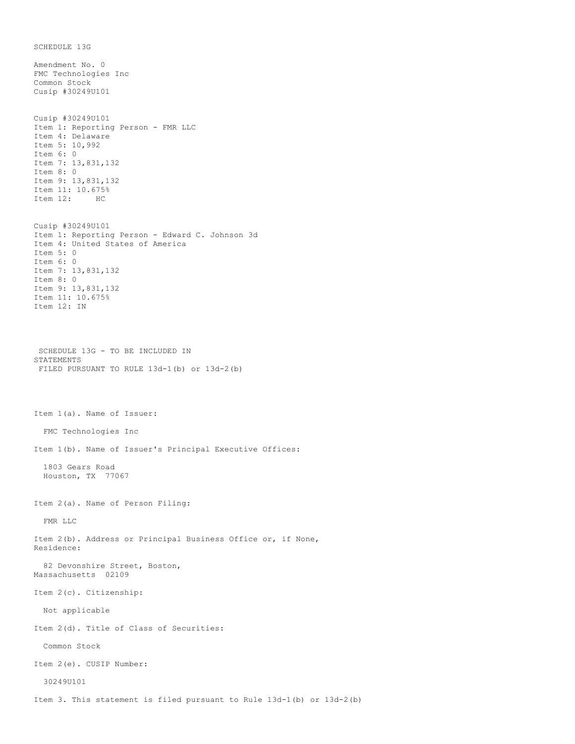SCHEDULE 13G Amendment No. 0 FMC Technologies Inc Common Stock Cusip #30249U101 Cusip #30249U101 Item 1: Reporting Person - FMR LLC Item 4: Delaware Item 5: 10,992 Item 6: 0 Item 7: 13,831,132 Item 8: 0 Item 9: 13,831,132 Item 11: 10.675% Item 12: HC Cusip #30249U101 Item 1: Reporting Person - Edward C. Johnson 3d Item 4: United States of America Item 5: 0 Item 6: 0 Item 7: 13,831,132 Item 8: 0 Item 9: 13,831,132 Item 11: 10.675% Item 12: IN SCHEDULE 13G - TO BE INCLUDED IN STATEMENTS FILED PURSUANT TO RULE 13d-1(b) or 13d-2(b) Item 1(a). Name of Issuer: FMC Technologies Inc Item 1(b). Name of Issuer's Principal Executive Offices: 1803 Gears Road Houston, TX 77067 Item 2(a). Name of Person Filing: FMR LLC Item 2(b). Address or Principal Business Office or, if None, Residence: 82 Devonshire Street, Boston, Massachusetts 02109 Item 2(c). Citizenship: Not applicable Item 2(d). Title of Class of Securities: Common Stock Item 2(e). CUSIP Number: 30249U101 Item 3. This statement is filed pursuant to Rule 13d-1(b) or 13d-2(b)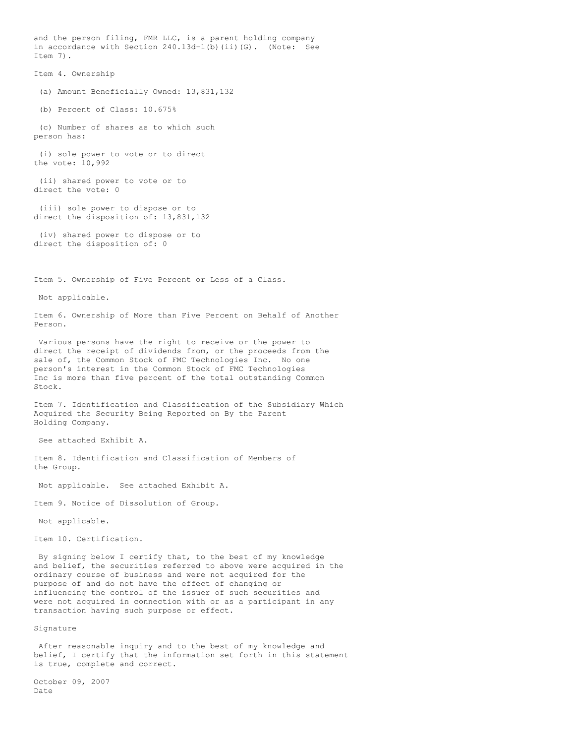and the person filing, FMR LLC, is a parent holding company in accordance with Section 240.13d-1(b)(ii)(G). (Note: See Item 7). Item 4. Ownership (a) Amount Beneficially Owned: 13,831,132 (b) Percent of Class: 10.675% (c) Number of shares as to which such person has: (i) sole power to vote or to direct the vote: 10,992 (ii) shared power to vote or to direct the vote: 0 (iii) sole power to dispose or to direct the disposition of: 13,831,132 (iv) shared power to dispose or to direct the disposition of: 0 Item 5. Ownership of Five Percent or Less of a Class. Not applicable. Item 6. Ownership of More than Five Percent on Behalf of Another Person. Various persons have the right to receive or the power to direct the receipt of dividends from, or the proceeds from the sale of, the Common Stock of FMC Technologies Inc. No one person's interest in the Common Stock of FMC Technologies Inc is more than five percent of the total outstanding Common Stock. Item 7. Identification and Classification of the Subsidiary Which Acquired the Security Being Reported on By the Parent Holding Company. See attached Exhibit A. Item 8. Identification and Classification of Members of the Group. Not applicable. See attached Exhibit A. Item 9. Notice of Dissolution of Group. Not applicable. Item 10. Certification. By signing below I certify that, to the best of my knowledge and belief, the securities referred to above were acquired in the ordinary course of business and were not acquired for the purpose of and do not have the effect of changing or influencing the control of the issuer of such securities and were not acquired in connection with or as a participant in any

Signature

After reasonable inquiry and to the best of my knowledge and belief, I certify that the information set forth in this statement is true, complete and correct.

transaction having such purpose or effect.

October 09, 2007 Date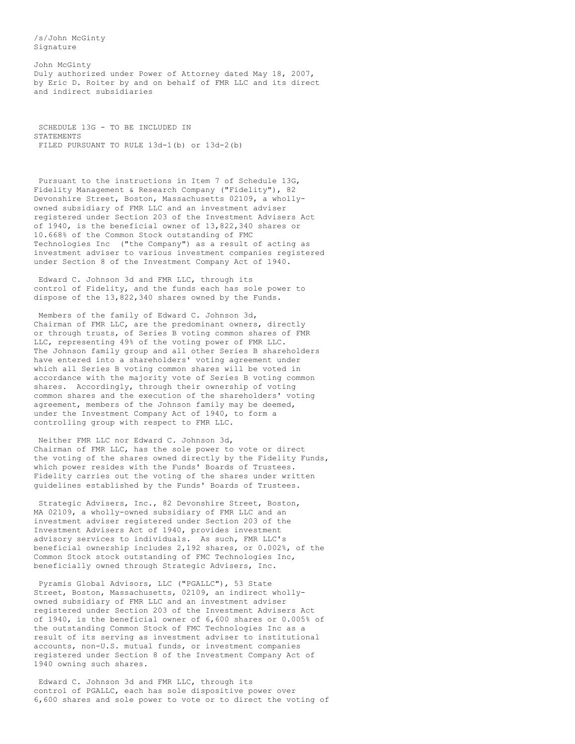/s/John McGinty Signature

John McGinty Duly authorized under Power of Attorney dated May 18, 2007, by Eric D. Roiter by and on behalf of FMR LLC and its direct and indirect subsidiaries

SCHEDULE 13G - TO BE INCLUDED IN STATEMENTS FILED PURSUANT TO RULE 13d-1(b) or 13d-2(b)

Pursuant to the instructions in Item 7 of Schedule 13G, Fidelity Management & Research Company ("Fidelity"), 82 Devonshire Street, Boston, Massachusetts 02109, a whollyowned subsidiary of FMR LLC and an investment adviser registered under Section 203 of the Investment Advisers Act of 1940, is the beneficial owner of 13,822,340 shares or 10.668% of the Common Stock outstanding of FMC Technologies Inc ("the Company") as a result of acting as investment adviser to various investment companies registered under Section 8 of the Investment Company Act of 1940.

Edward C. Johnson 3d and FMR LLC, through its control of Fidelity, and the funds each has sole power to dispose of the 13,822,340 shares owned by the Funds.

Members of the family of Edward C. Johnson 3d, Chairman of FMR LLC, are the predominant owners, directly or through trusts, of Series B voting common shares of FMR LLC, representing 49% of the voting power of FMR LLC. The Johnson family group and all other Series B shareholders have entered into a shareholders' voting agreement under which all Series B voting common shares will be voted in accordance with the majority vote of Series B voting common shares. Accordingly, through their ownership of voting common shares and the execution of the shareholders' voting agreement, members of the Johnson family may be deemed, under the Investment Company Act of 1940, to form a controlling group with respect to FMR LLC.

Neither FMR LLC nor Edward C. Johnson 3d, Chairman of FMR LLC, has the sole power to vote or direct the voting of the shares owned directly by the Fidelity Funds, which power resides with the Funds' Boards of Trustees. Fidelity carries out the voting of the shares under written guidelines established by the Funds' Boards of Trustees.

Strategic Advisers, Inc., 82 Devonshire Street, Boston, MA 02109, a wholly-owned subsidiary of FMR LLC and an investment adviser registered under Section 203 of the Investment Advisers Act of 1940, provides investment advisory services to individuals. As such, FMR LLC's beneficial ownership includes 2,192 shares, or 0.002%, of the Common Stock stock outstanding of FMC Technologies Inc, beneficially owned through Strategic Advisers, Inc.

Pyramis Global Advisors, LLC ("PGALLC"), 53 State Street, Boston, Massachusetts, 02109, an indirect whollyowned subsidiary of FMR LLC and an investment adviser registered under Section 203 of the Investment Advisers Act of 1940, is the beneficial owner of 6,600 shares or 0.005% of the outstanding Common Stock of FMC Technologies Inc as a result of its serving as investment adviser to institutional accounts, non-U.S. mutual funds, or investment companies registered under Section 8 of the Investment Company Act of 1940 owning such shares.

Edward C. Johnson 3d and FMR LLC, through its control of PGALLC, each has sole dispositive power over 6,600 shares and sole power to vote or to direct the voting of